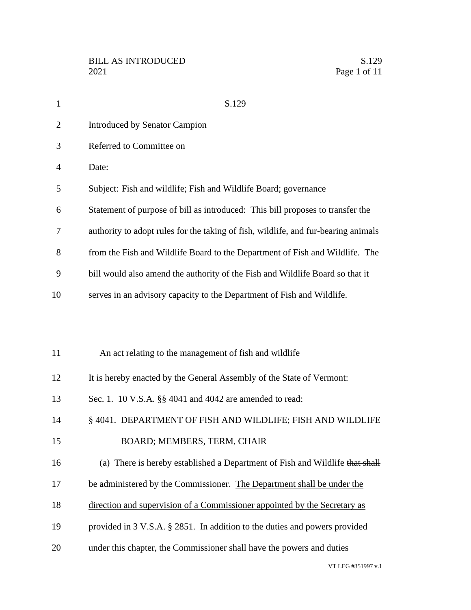| $\mathbf{1}$ | S.129                                                                              |
|--------------|------------------------------------------------------------------------------------|
| 2            | <b>Introduced by Senator Campion</b>                                               |
| 3            | Referred to Committee on                                                           |
| 4            | Date:                                                                              |
| 5            | Subject: Fish and wildlife; Fish and Wildlife Board; governance                    |
| 6            | Statement of purpose of bill as introduced: This bill proposes to transfer the     |
| 7            | authority to adopt rules for the taking of fish, wildlife, and fur-bearing animals |
| 8            | from the Fish and Wildlife Board to the Department of Fish and Wildlife. The       |
| 9            | bill would also amend the authority of the Fish and Wildlife Board so that it      |
| 10           | serves in an advisory capacity to the Department of Fish and Wildlife.             |
|              |                                                                                    |
|              |                                                                                    |
| 11           | An act relating to the management of fish and wildlife                             |
| 12           | It is hereby enacted by the General Assembly of the State of Vermont:              |
| 13           | Sec. 1. 10 V.S.A. §§ 4041 and 4042 are amended to read:                            |
| 14           | § 4041. DEPARTMENT OF FISH AND WILDLIFE; FISH AND WILDLIFE                         |
| 15           | BOARD; MEMBERS, TERM, CHAIR                                                        |
| 16           | (a) There is hereby established a Department of Fish and Wildlife that shall       |
| 17           | be administered by the Commissioner. The Department shall be under the             |
| 18           | direction and supervision of a Commissioner appointed by the Secretary as          |
| 19           | provided in 3 V.S.A. § 2851. In addition to the duties and powers provided         |
| 20           | under this chapter, the Commissioner shall have the powers and duties              |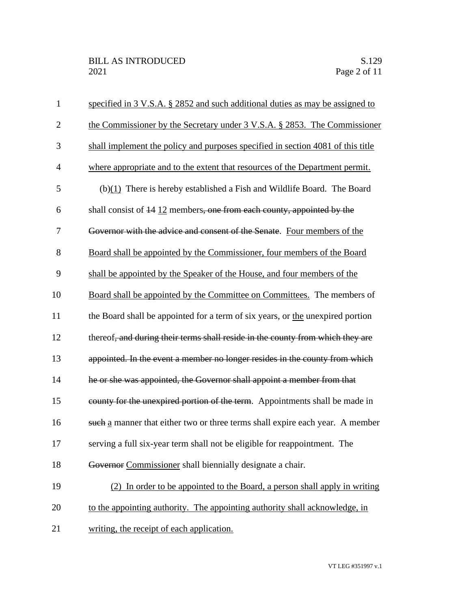| $\mathbf{1}$   | specified in 3 V.S.A. § 2852 and such additional duties as may be assigned to    |
|----------------|----------------------------------------------------------------------------------|
| $\overline{2}$ | the Commissioner by the Secretary under 3 V.S.A. § 2853. The Commissioner        |
| 3              | shall implement the policy and purposes specified in section 4081 of this title  |
| $\overline{4}$ | where appropriate and to the extent that resources of the Department permit.     |
| 5              | $(b)(1)$ There is hereby established a Fish and Wildlife Board. The Board        |
| 6              | shall consist of $\frac{14}{12}$ members, one from each county, appointed by the |
| 7              | Governor with the advice and consent of the Senate. Four members of the          |
| 8              | Board shall be appointed by the Commissioner, four members of the Board          |
| 9              | shall be appointed by the Speaker of the House, and four members of the          |
| 10             | Board shall be appointed by the Committee on Committees. The members of          |
| 11             | the Board shall be appointed for a term of six years, or the unexpired portion   |
| 12             | thereof, and during their terms shall reside in the county from which they are   |
| 13             | appointed. In the event a member no longer resides in the county from which      |
| 14             | he or she was appointed, the Governor shall appoint a member from that           |
| 15             | county for the unexpired portion of the term. Appointments shall be made in      |
| 16             | such a manner that either two or three terms shall expire each year. A member    |
| 17             | serving a full six-year term shall not be eligible for reappointment. The        |
| 18             | Governor Commissioner shall biennially designate a chair.                        |
| 19             | (2) In order to be appointed to the Board, a person shall apply in writing       |
| 20             | to the appointing authority. The appointing authority shall acknowledge, in      |
| 21             | writing, the receipt of each application.                                        |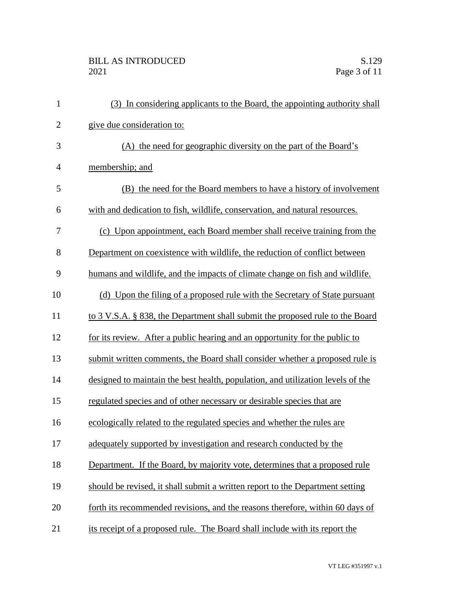| $\mathbf{1}$   | (3) In considering applicants to the Board, the appointing authority shall      |
|----------------|---------------------------------------------------------------------------------|
| $\overline{2}$ | give due consideration to:                                                      |
| 3              | (A) the need for geographic diversity on the part of the Board's                |
| $\overline{4}$ | membership; and                                                                 |
| 5              | (B) the need for the Board members to have a history of involvement             |
| 6              | with and dedication to fish, wildlife, conservation, and natural resources.     |
| 7              | (c) Upon appointment, each Board member shall receive training from the         |
| 8              | Department on coexistence with wildlife, the reduction of conflict between      |
| 9              | humans and wildlife, and the impacts of climate change on fish and wildlife.    |
| 10             | (d) Upon the filing of a proposed rule with the Secretary of State pursuant     |
| 11             | to 3 V.S.A. § 838, the Department shall submit the proposed rule to the Board   |
| 12             | for its review. After a public hearing and an opportunity for the public to     |
| 13             | submit written comments, the Board shall consider whether a proposed rule is    |
| 14             | designed to maintain the best health, population, and utilization levels of the |
| 15             | regulated species and of other necessary or desirable species that are          |
| 16             | ecologically related to the regulated species and whether the rules are         |
| 17             | adequately supported by investigation and research conducted by the             |
| 18             | Department. If the Board, by majority vote, determines that a proposed rule     |
| 19             | should be revised, it shall submit a written report to the Department setting   |
| 20             | forth its recommended revisions, and the reasons therefore, within 60 days of   |
| 21             | its receipt of a proposed rule. The Board shall include with its report the     |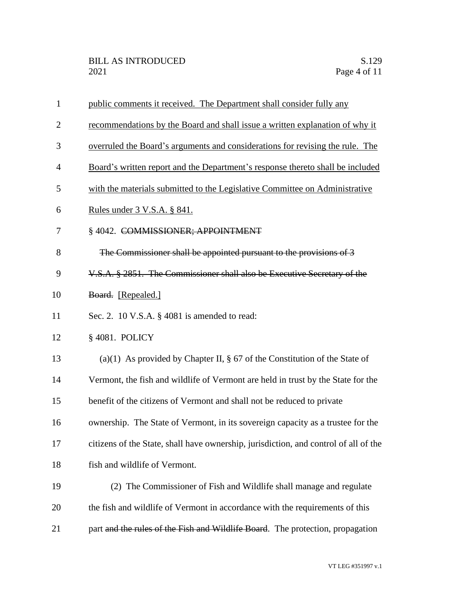| $\mathbf{1}$   | public comments it received. The Department shall consider fully any                 |
|----------------|--------------------------------------------------------------------------------------|
| $\overline{2}$ | recommendations by the Board and shall issue a written explanation of why it         |
| 3              | overruled the Board's arguments and considerations for revising the rule. The        |
| $\overline{4}$ | Board's written report and the Department's response thereto shall be included       |
| 5              | with the materials submitted to the Legislative Committee on Administrative          |
| 6              | <u>Rules under 3 V.S.A. § 841.</u>                                                   |
| 7              | § 4042. COMMISSIONER; APPOINTMENT                                                    |
| 8              | The Commissioner shall be appointed pursuant to the provisions of 3                  |
| 9              | V.S.A. § 2851. The Commissioner shall also be Executive Secretary of the             |
| 10             | Board. [Repealed.]                                                                   |
| 11             | Sec. 2. 10 V.S.A. $\S$ 4081 is amended to read:                                      |
| 12             | § 4081. POLICY                                                                       |
| 13             | (a)(1) As provided by Chapter II, $\S$ 67 of the Constitution of the State of        |
| 14             | Vermont, the fish and wildlife of Vermont are held in trust by the State for the     |
| 15             | benefit of the citizens of Vermont and shall not be reduced to private               |
| 16             | ownership. The State of Vermont, in its sovereign capacity as a trustee for the      |
| 17             | citizens of the State, shall have ownership, jurisdiction, and control of all of the |
| 18             | fish and wildlife of Vermont.                                                        |
| 19             | (2) The Commissioner of Fish and Wildlife shall manage and regulate                  |
| 20             | the fish and wildlife of Vermont in accordance with the requirements of this         |
| 21             | part and the rules of the Fish and Wildlife Board. The protection, propagation       |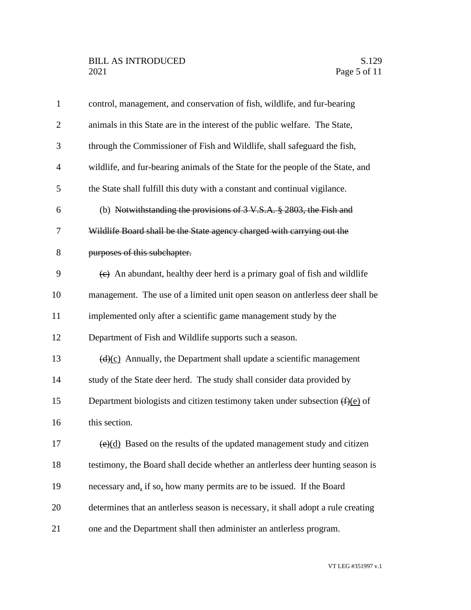| $\mathbf{1}$   | control, management, and conservation of fish, wildlife, and fur-bearing                 |
|----------------|------------------------------------------------------------------------------------------|
| $\overline{2}$ | animals in this State are in the interest of the public welfare. The State,              |
| 3              | through the Commissioner of Fish and Wildlife, shall safeguard the fish,                 |
| 4              | wildlife, and fur-bearing animals of the State for the people of the State, and          |
| 5              | the State shall fulfill this duty with a constant and continual vigilance.               |
| 6              | (b) Notwithstanding the provisions of $3$ V.S.A. $\S$ 2803, the Fish and                 |
| 7              | Wildlife Board shall be the State agency charged with carrying out the                   |
| 8              | purposes of this subchapter.                                                             |
| 9              | $\leftrightarrow$ An abundant, healthy deer herd is a primary goal of fish and wildlife  |
| 10             | management. The use of a limited unit open season on antierless deer shall be            |
| 11             | implemented only after a scientific game management study by the                         |
| 12             | Department of Fish and Wildlife supports such a season.                                  |
| 13             | $\left(\frac{d}{c}\right)$ Annually, the Department shall update a scientific management |
| 14             | study of the State deer herd. The study shall consider data provided by                  |
| 15             | Department biologists and citizen testimony taken under subsection $(f)(e)$ of           |
| 16             | this section.                                                                            |
| 17             | $\overline{(e)(d)}$ Based on the results of the updated management study and citizen     |
| 18             | testimony, the Board shall decide whether an antierless deer hunting season is           |
| 19             | necessary and, if so, how many permits are to be issued. If the Board                    |
| 20             | determines that an antlerless season is necessary, it shall adopt a rule creating        |
| 21             | one and the Department shall then administer an antierless program.                      |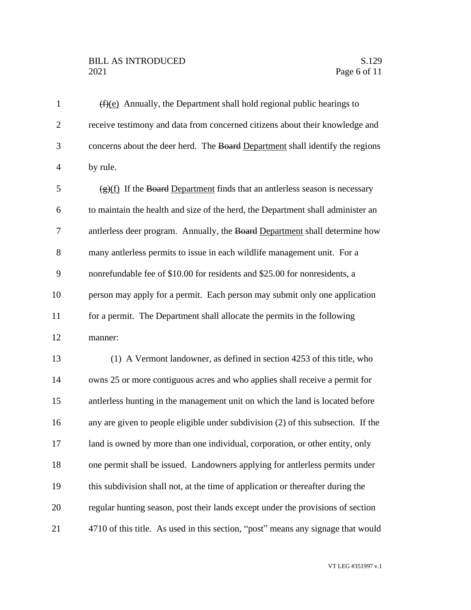## BILL AS INTRODUCED SAND SALLER SALLER SALLER SALLER SALLER SALLER SALLER SALLER SALLER SALLER SALLER SALLER SALLER SALLER SALLER SALLER SALLER SALLER SALLER SALLER SALLER SALLER SALLER SALLER SALLER SALLER SALLER SALLER SA **Page 6 of 11**

 $(f)(e)$  Annually, the Department shall hold regional public hearings to receive testimony and data from concerned citizens about their knowledge and concerns about the deer herd. The Board Department shall identify the regions by rule.  $\frac{1}{2}$  (g)(f) If the Board Department finds that an antierless season is necessary to maintain the health and size of the herd, the Department shall administer an antlerless deer program. Annually, the Board Department shall determine how many antlerless permits to issue in each wildlife management unit. For a nonrefundable fee of \$10.00 for residents and \$25.00 for nonresidents, a person may apply for a permit. Each person may submit only one application for a permit. The Department shall allocate the permits in the following manner: (1) A Vermont landowner, as defined in section 4253 of this title, who owns 25 or more contiguous acres and who applies shall receive a permit for antlerless hunting in the management unit on which the land is located before any are given to people eligible under subdivision (2) of this subsection. If the 17 land is owned by more than one individual, corporation, or other entity, only one permit shall be issued. Landowners applying for antlerless permits under this subdivision shall not, at the time of application or thereafter during the regular hunting season, post their lands except under the provisions of section 4710 of this title. As used in this section, "post" means any signage that would

VT LEG #351997 v.1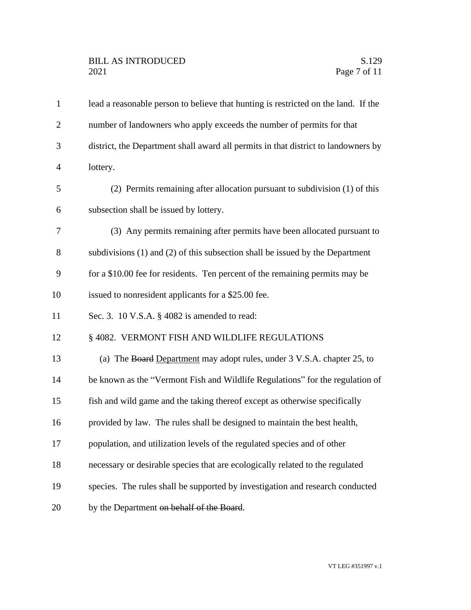| $\mathbf{1}$   | lead a reasonable person to believe that hunting is restricted on the land. If the |
|----------------|------------------------------------------------------------------------------------|
| $\overline{2}$ | number of landowners who apply exceeds the number of permits for that              |
| 3              | district, the Department shall award all permits in that district to landowners by |
| $\overline{4}$ | lottery.                                                                           |
| 5              | (2) Permits remaining after allocation pursuant to subdivision (1) of this         |
| 6              | subsection shall be issued by lottery.                                             |
| 7              | (3) Any permits remaining after permits have been allocated pursuant to            |
| 8              | subdivisions (1) and (2) of this subsection shall be issued by the Department      |
| 9              | for a \$10.00 fee for residents. Ten percent of the remaining permits may be       |
| 10             | issued to nonresident applicants for a \$25.00 fee.                                |
| 11             | Sec. 3. 10 V.S.A. § 4082 is amended to read:                                       |
| 12             | § 4082. VERMONT FISH AND WILDLIFE REGULATIONS                                      |
| 13             | (a) The Board Department may adopt rules, under 3 V.S.A. chapter 25, to            |
| 14             | be known as the "Vermont Fish and Wildlife Regulations" for the regulation of      |
| 15             | fish and wild game and the taking thereof except as otherwise specifically         |
| 16             | provided by law. The rules shall be designed to maintain the best health,          |
| 17             | population, and utilization levels of the regulated species and of other           |
| 18             | necessary or desirable species that are ecologically related to the regulated      |
| 19             | species. The rules shall be supported by investigation and research conducted      |
| 20             | by the Department on behalf of the Board.                                          |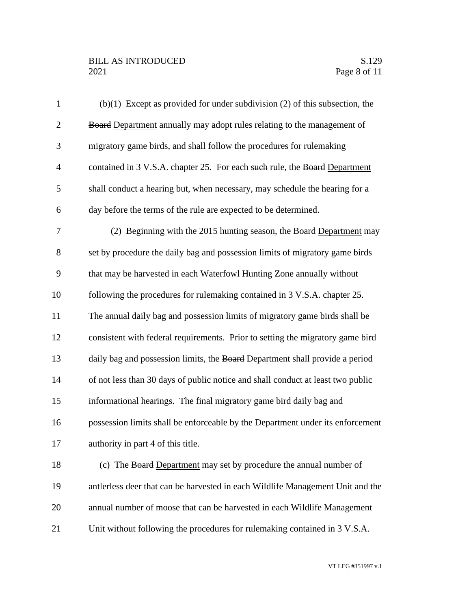## BILL AS INTRODUCED<br>2021 Page 8 of 11

| $\mathbf{1}$   | $(b)(1)$ Except as provided for under subdivision (2) of this subsection, the   |
|----------------|---------------------------------------------------------------------------------|
| $\overline{2}$ | <b>Board Department annually may adopt rules relating to the management of</b>  |
| 3              | migratory game birds, and shall follow the procedures for rulemaking            |
| $\overline{4}$ | contained in 3 V.S.A. chapter 25. For each such rule, the Board Department      |
| 5              | shall conduct a hearing but, when necessary, may schedule the hearing for a     |
| 6              | day before the terms of the rule are expected to be determined.                 |
| 7              | (2) Beginning with the 2015 hunting season, the Board Department may            |
| 8              | set by procedure the daily bag and possession limits of migratory game birds    |
| 9              | that may be harvested in each Waterfowl Hunting Zone annually without           |
| 10             | following the procedures for rulemaking contained in 3 V.S.A. chapter 25.       |
| 11             | The annual daily bag and possession limits of migratory game birds shall be     |
| 12             | consistent with federal requirements. Prior to setting the migratory game bird  |
| 13             | daily bag and possession limits, the Board Department shall provide a period    |
| 14             | of not less than 30 days of public notice and shall conduct at least two public |
| 15             | informational hearings. The final migratory game bird daily bag and             |
| 16             | possession limits shall be enforceable by the Department under its enforcement  |
| 17             | authority in part 4 of this title.                                              |
| 18             | (c) The Board Department may set by procedure the annual number of              |
| 19             | antlerless deer that can be harvested in each Wildlife Management Unit and the  |
| 20             | annual number of moose that can be harvested in each Wildlife Management        |
| 21             | Unit without following the procedures for rulemaking contained in 3 V.S.A.      |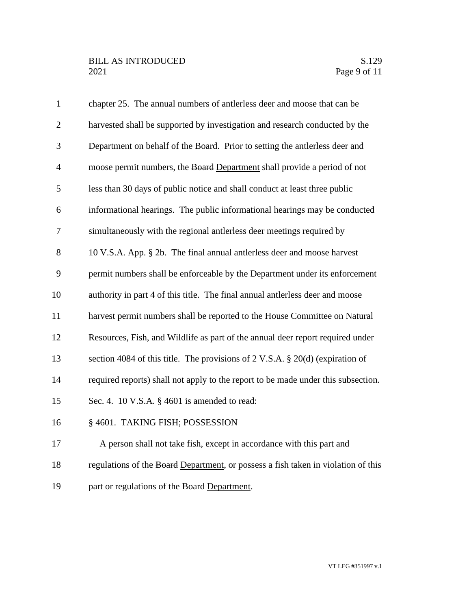| $\mathbf{1}$   | chapter 25. The annual numbers of antierless deer and moose that can be                   |
|----------------|-------------------------------------------------------------------------------------------|
| $\overline{2}$ | harvested shall be supported by investigation and research conducted by the               |
| 3              | Department on behalf of the Board. Prior to setting the antierless deer and               |
| $\overline{4}$ | moose permit numbers, the Board Department shall provide a period of not                  |
| 5              | less than 30 days of public notice and shall conduct at least three public                |
| 6              | informational hearings. The public informational hearings may be conducted                |
| $\tau$         | simultaneously with the regional antierless deer meetings required by                     |
| 8              | 10 V.S.A. App. § 2b. The final annual antierless deer and moose harvest                   |
| 9              | permit numbers shall be enforceable by the Department under its enforcement               |
| 10             | authority in part 4 of this title. The final annual antlerless deer and moose             |
| 11             | harvest permit numbers shall be reported to the House Committee on Natural                |
| 12             | Resources, Fish, and Wildlife as part of the annual deer report required under            |
| 13             | section 4084 of this title. The provisions of $2 \text{ V.S.A. } §\ 20(d)$ (expiration of |
| 14             | required reports) shall not apply to the report to be made under this subsection.         |
| 15             | Sec. 4. 10 V.S.A. § 4601 is amended to read:                                              |
| 16             | § 4601. TAKING FISH; POSSESSION                                                           |
| 17             | A person shall not take fish, except in accordance with this part and                     |
| 18             | regulations of the Board Department, or possess a fish taken in violation of this         |
| 19             | part or regulations of the Board Department.                                              |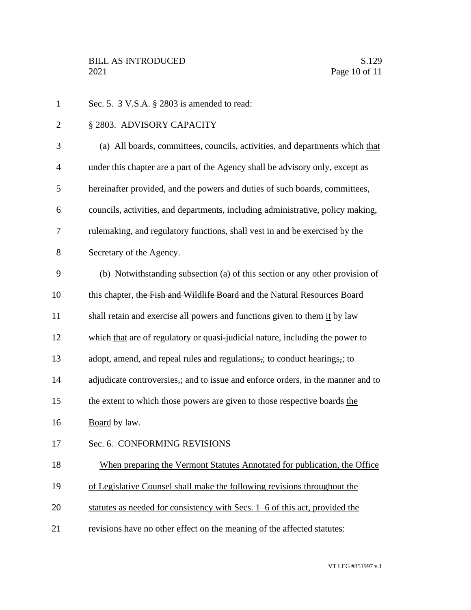1 Sec. 5. 3 V.S.A. § 2803 is amended to read: 2 § 2803. ADVISORY CAPACITY 3 (a) All boards, committees, councils, activities, and departments which that 4 under this chapter are a part of the Agency shall be advisory only, except as 5 hereinafter provided, and the powers and duties of such boards, committees, 6 councils, activities, and departments, including administrative, policy making, 7 rulemaking, and regulatory functions, shall vest in and be exercised by the 8 Secretary of the Agency. 9 (b) Notwithstanding subsection (a) of this section or any other provision of 10 this chapter, the Fish and Wildlife Board and the Natural Resources Board 11 shall retain and exercise all powers and functions given to them it by law 12 which that are of regulatory or quasi-judicial nature, including the power to 13 adopt, amend, and repeal rules and regulations, to conduct hearings, to 14 adjudicate controversies, and to issue and enforce orders, in the manner and to 15 the extent to which those powers are given to those respective boards the 16 Board by law. 17 Sec. 6. CONFORMING REVISIONS 18 When preparing the Vermont Statutes Annotated for publication, the Office 19 of Legislative Counsel shall make the following revisions throughout the 20 statutes as needed for consistency with Secs. 1–6 of this act, provided the 21 revisions have no other effect on the meaning of the affected statutes: